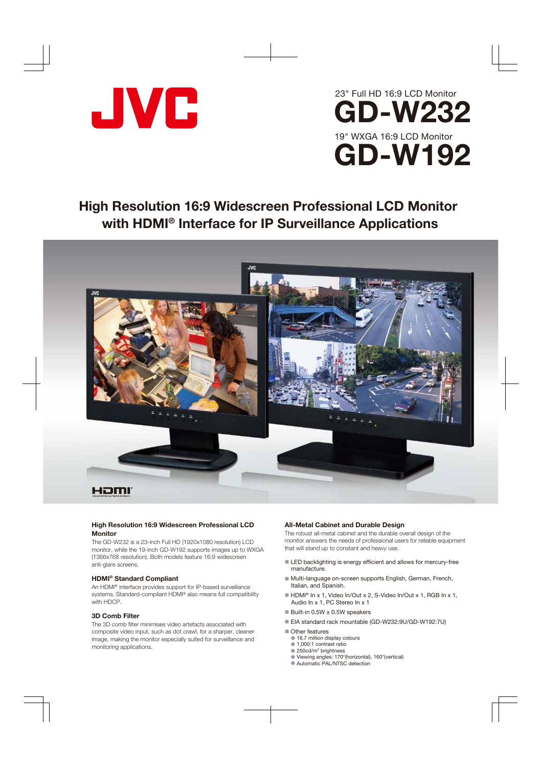



# **High Resolution 16:9 Widescreen Professional LCD Monitor with HDMI ® Interface for IP Surveillance Applications**



### **High Resolution 16:9 Widescreen Professional LCD Monitor**

The GD-W232 is a 23-inch Full HD (1920x1080 resolution) LCD monitor, while the 19-inch GD-W192 supports images up to WXGA (1366x768 resolution). Both models feature 16:9 widescreen anti-glare screens.

#### **HDMI® Standard Compliant**

An HDMI® interface provides support for IP-based surveillance systems. Standard-compliant HDMI® also means full compatibility with HDCP.

#### **3D Comb Filter**

The 3D comb filter minimises video artefacts associated with composite video input, such as dot crawl, for a sharper, cleaner image, making the monitor especially suited for surveillance and monitoring applications.

#### **All-Metal Cabinet and Durable Design**

The robust all-metal cabinet and the durable overall design of the monitor answers the needs of professional users for reliable equipment that will stand up to constant and heavy use.

- LED backlighting is energy efficient and allows for mercury-free manufacture.
- Multi-language on-screen supports English, German, French, Italian, and Spanish.
- HDMI<sup>®</sup> In x 1, Video In/Out x 2, S-Video In/Out x 1, RGB In x 1, Audio In x 1, PC Stereo In x 1
- $\blacksquare$  Built-in 0.5W x 0.5W speakers
- EIA standard rack mountable (GD-W232:9U/GD-W192:7U)
- Other features
	- $\bullet$  16.7 million display colours
	- 1,000:1 contrast ratio
- $\bullet$  250cd/m<sup>2</sup> brightness
	- Viewing angles: 170°(horizontal), 160°(vertical)
	- Automatic PAL/NTSC detection